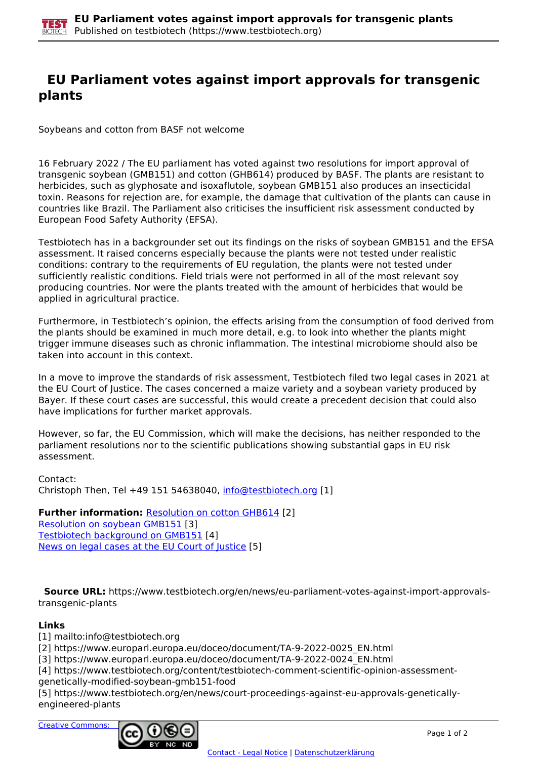## **EU Parliament votes against import approvals for transgenic plants**

Soybeans and cotton from BASF not welcome

16 February 2022 / The EU parliament has voted against two resolutions for import approval of transgenic soybean (GMB151) and cotton (GHB614) produced by BASF. The plants are resistant to herbicides, such as glyphosate and isoxaflutole, soybean GMB151 also produces an insecticidal toxin. Reasons for rejection are, for example, the damage that cultivation of the plants can cause in countries like Brazil. The Parliament also criticises the insufficient risk assessment conducted by European Food Safety Authority (EFSA).

Testbiotech has in a backgrounder set out its findings on the risks of soybean GMB151 and the EFSA assessment. It raised concerns especially because the plants were not tested under realistic conditions: contrary to the requirements of EU regulation, the plants were not tested under sufficiently realistic conditions. Field trials were not performed in all of the most relevant soy producing countries. Nor were the plants treated with the amount of herbicides that would be applied in agricultural practice.

Furthermore, in Testbiotech's opinion, the effects arising from the consumption of food derived from the plants should be examined in much more detail, e.g. to look into whether the plants might trigger immune diseases such as chronic inflammation. The intestinal microbiome should also be taken into account in this context.

In a move to improve the standards of risk assessment, Testbiotech filed two legal cases in 2021 at the EU Court of Justice. The cases concerned a maize variety and a soybean variety produced by Bayer. If these court cases are successful, this would create a precedent decision that could also have implications for further market approvals.

However, so far, the EU Commission, which will make the decisions, has neither responded to the parliament resolutions nor to the scientific publications showing substantial gaps in EU risk assessment.

Contact: Christoph Then, Tel +49 151 54638040, [info@testbiotech.org](mailto:info@testbiotech.org) [1]

**Further information: Resolution on cotton GHB614 [2]** Resolution on soybean GMB151 [3] Testbiotech background on GMB151 [4] News on legal cases at the EU Court of Justice [5]

 **Source URL:** https://www.testbiotech.org/en/news/eu-parliament-votes-against-import-approvalstransgenic-plants

## **Links**

[1] mailto:info@testbiotech.org

[2] https://www.europarl.europa.eu/doceo/document/TA-9-2022-0025\_EN.html

[3] https://www.europarl.europa.eu/doceo/document/TA-9-2022-0024\_EN.html

[4] https://www.testbiotech.org/content/testbiotech-comment-scientific-opinion-assessmentgenetically-modified-soybean-gmb151-food

[5] https://www.testbiotech.org/en/news/court-proceedings-against-eu-approvals-geneticallyengineered-plants